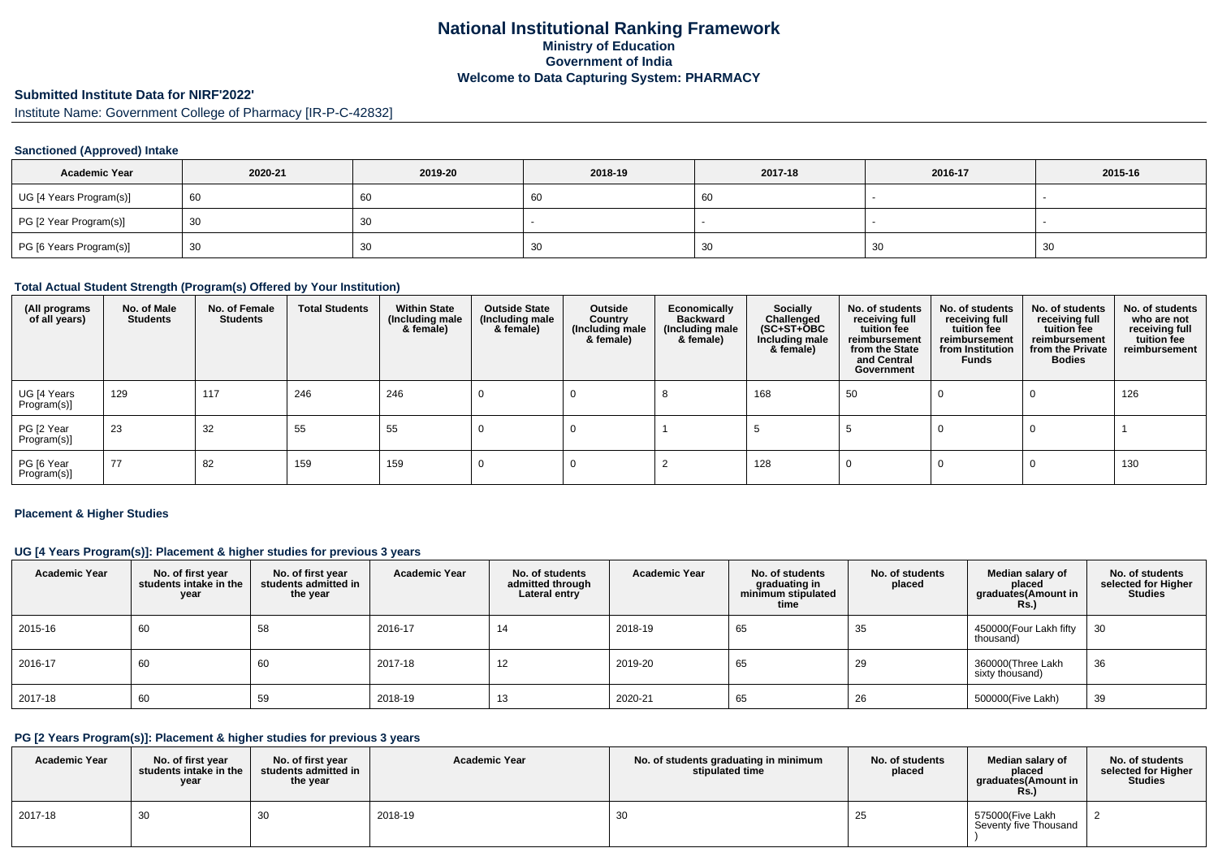# **National Institutional Ranking FrameworkMinistry of Education Government of IndiaWelcome to Data Capturing System: PHARMACY**

# **Submitted Institute Data for NIRF'2022'**

Institute Name: Government College of Pharmacy [IR-P-C-42832]

### **Sanctioned (Approved) Intake**

| <b>Academic Year</b>    | 2020-21 | 2019-20 | 2018-19 | 2017-18 | 2016-17 | 2015-16 |
|-------------------------|---------|---------|---------|---------|---------|---------|
| UG [4 Years Program(s)] | 60      | υv      | 60      | $-60$   |         |         |
| PG [2 Year Program(s)]  | 30      | ບບ      |         |         |         |         |
| PG [6 Years Program(s)] | 30      | ບບ      | 30      | 30      | 30      | ັບ      |

#### **Total Actual Student Strength (Program(s) Offered by Your Institution)**

| (All programs<br>of all years) | No. of Male<br><b>Students</b> | No. of Female<br><b>Students</b> | <b>Total Students</b> | <b>Within State</b><br>(Including male<br>& female) | <b>Outside State</b><br>(Including male<br>& female) | Outside<br>Country<br>(Including male<br>& female) | Economically<br><b>Backward</b><br>(Including male<br>& female) | <b>Socially</b><br>Challenged<br>$(SC+ST+\text{O}BC)$<br>Including male<br>& female) | No. of students<br>receiving full<br>tuition fee<br>reimbursement<br>from the State<br>and Central<br>Government | No. of students<br>receiving full<br>tuition fee<br>reimbursement<br>from Institution<br><b>Funds</b> | No. of students<br>receiving full<br>tuition fee<br>reimbursement<br>from the Private<br><b>Bodies</b> | No. of students<br>who are not<br>receiving full<br>tuition fee<br>reimbursement |
|--------------------------------|--------------------------------|----------------------------------|-----------------------|-----------------------------------------------------|------------------------------------------------------|----------------------------------------------------|-----------------------------------------------------------------|--------------------------------------------------------------------------------------|------------------------------------------------------------------------------------------------------------------|-------------------------------------------------------------------------------------------------------|--------------------------------------------------------------------------------------------------------|----------------------------------------------------------------------------------|
| UG [4 Years<br>Program(s)]     | 129                            | 117                              | 246                   | 246                                                 |                                                      |                                                    |                                                                 | 168                                                                                  | 50                                                                                                               |                                                                                                       | U                                                                                                      | 126                                                                              |
| PG [2 Year<br>Program(s)]      | 23                             | 32                               | 55                    | 55                                                  |                                                      |                                                    |                                                                 |                                                                                      |                                                                                                                  |                                                                                                       |                                                                                                        |                                                                                  |
| PG [6 Year<br>Program(s)]      | 77                             | 82                               | 159                   | 159                                                 |                                                      |                                                    |                                                                 | 128                                                                                  |                                                                                                                  |                                                                                                       |                                                                                                        | 130                                                                              |

#### **Placement & Higher Studies**

## **UG [4 Years Program(s)]: Placement & higher studies for previous 3 years**

| <b>Academic Year</b> | No. of first year<br>students intake in the<br>year | No. of first year<br>students admitted in<br>the year | <b>Academic Year</b> | No. of students<br>admitted through<br>Lateral entry | <b>Academic Year</b> | No. of students<br>graduating in<br>minimum stipulated<br>time | No. of students<br>placed | Median salary of<br>placed<br>graduates(Amount in<br>R <sub>S</sub> | No. of students<br>selected for Higher<br><b>Studies</b> |
|----------------------|-----------------------------------------------------|-------------------------------------------------------|----------------------|------------------------------------------------------|----------------------|----------------------------------------------------------------|---------------------------|---------------------------------------------------------------------|----------------------------------------------------------|
| 2015-16              | 60                                                  | 58                                                    | 2016-17              | 14                                                   | 2018-19              | 65                                                             | 35                        | 450000(Four Lakh fifty<br>thousand)                                 | 30                                                       |
| 2016-17              | 60                                                  | 60                                                    | 2017-18              | 12                                                   | 2019-20              | 65                                                             | 29                        | 360000(Three Lakh<br>sixty thousand)                                | 36                                                       |
| 2017-18              | 60                                                  | 59                                                    | 2018-19              | 13                                                   | 2020-21              | 65                                                             | 26                        | 500000(Five Lakh)                                                   | 39                                                       |

# **PG [2 Years Program(s)]: Placement & higher studies for previous 3 years**

| <b>Academic Year</b> | No. of first year<br>students intake in the<br>year | No. of first year<br>students admitted in<br>the year | <b>Academic Year</b> | No. of students graduating in minimum<br>stipulated time | No. of students<br>placed | Median salary of<br>placed<br>araduates(Amount in<br>Rs. | No. of students<br>selected for Higher<br><b>Studies</b> |
|----------------------|-----------------------------------------------------|-------------------------------------------------------|----------------------|----------------------------------------------------------|---------------------------|----------------------------------------------------------|----------------------------------------------------------|
| 2017-18              | 30                                                  | 30                                                    | 2018-19              | 30                                                       | 25                        | 575000(Five Lakh<br>Seventy five Thousand                |                                                          |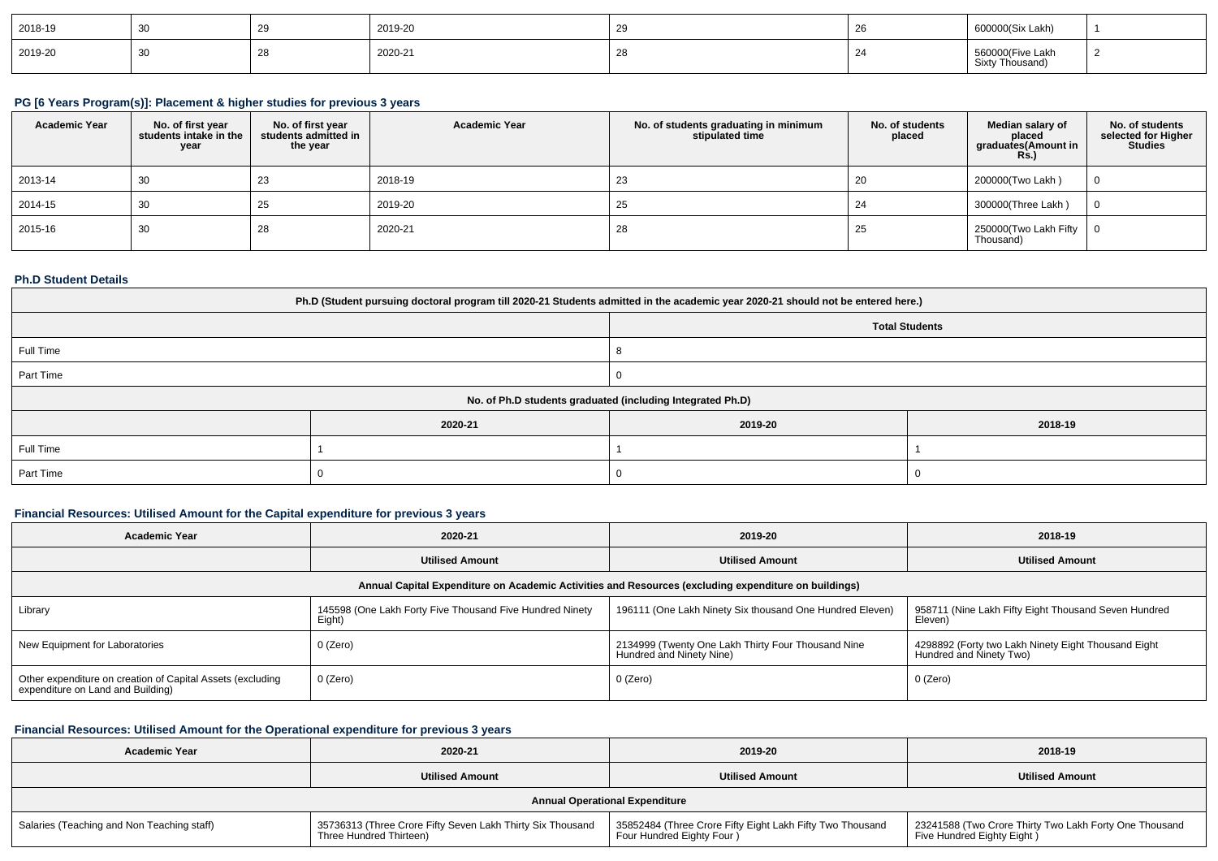| 2018-19      |    | 2019-20 | zn | 600000(Six Lakh)              |  |
|--------------|----|---------|----|-------------------------------|--|
| 2019-20<br>. | 30 | 2020-21 |    | 560000(Five Lakh<br>Thousang. |  |

#### **PG [6 Years Program(s)]: Placement & higher studies for previous 3 years**

| <b>Academic Year</b> | No. of first year<br>students intake in the<br>year | No. of first vear<br>students admitted in<br>the year | <b>Academic Year</b> | No. of students graduating in minimum<br>stipulated time | No. of students<br>placed | Median salary of<br>placed<br>graduates(Amount in<br>Rs. | No. of students<br>selected for Higher<br><b>Studies</b> |
|----------------------|-----------------------------------------------------|-------------------------------------------------------|----------------------|----------------------------------------------------------|---------------------------|----------------------------------------------------------|----------------------------------------------------------|
| 2013-14              | 30                                                  | 23                                                    | 2018-19              | 23                                                       | 20                        | 200000(Two Lakh)                                         |                                                          |
| 2014-15              | 30                                                  | 25                                                    | 2019-20              | 25                                                       | 24                        | 300000(Three Lakh)                                       |                                                          |
| 2015-16              | 30                                                  | 28                                                    | 2020-21              | 28                                                       | 25                        | 250000(Two Lakh Fifty   0<br>Thousand)                   |                                                          |

#### **Ph.D Student Details**

| Ph.D (Student pursuing doctoral program till 2020-21 Students admitted in the academic year 2020-21 should not be entered here.) |                                                            |         |         |  |  |  |
|----------------------------------------------------------------------------------------------------------------------------------|------------------------------------------------------------|---------|---------|--|--|--|
| <b>Total Students</b>                                                                                                            |                                                            |         |         |  |  |  |
| Full Time                                                                                                                        |                                                            |         |         |  |  |  |
| Part Time                                                                                                                        |                                                            |         |         |  |  |  |
|                                                                                                                                  | No. of Ph.D students graduated (including Integrated Ph.D) |         |         |  |  |  |
|                                                                                                                                  | 2020-21                                                    | 2019-20 | 2018-19 |  |  |  |
| Full Time                                                                                                                        |                                                            |         |         |  |  |  |
| Part Time                                                                                                                        |                                                            |         |         |  |  |  |

## **Financial Resources: Utilised Amount for the Capital expenditure for previous 3 years**

| <b>Academic Year</b>                                                                                 | 2020-21                                                            | 2019-20                                                                        | 2018-19                                                                        |  |  |  |  |
|------------------------------------------------------------------------------------------------------|--------------------------------------------------------------------|--------------------------------------------------------------------------------|--------------------------------------------------------------------------------|--|--|--|--|
|                                                                                                      | <b>Utilised Amount</b>                                             | <b>Utilised Amount</b>                                                         | <b>Utilised Amount</b>                                                         |  |  |  |  |
| Annual Capital Expenditure on Academic Activities and Resources (excluding expenditure on buildings) |                                                                    |                                                                                |                                                                                |  |  |  |  |
| Library                                                                                              | 145598 (One Lakh Forty Five Thousand Five Hundred Ninety<br>Eight) | 196111 (One Lakh Ninety Six thousand One Hundred Eleven)                       | 958711 (Nine Lakh Fifty Eight Thousand Seven Hundred<br>Eleven)                |  |  |  |  |
| New Equipment for Laboratories                                                                       | 0 (Zero)                                                           | 2134999 (Twenty One Lakh Thirty Four Thousand Nine<br>Hundred and Ninety Nine) | 4298892 (Forty two Lakh Ninety Eight Thousand Eight<br>Hundred and Ninety Two) |  |  |  |  |
| Other expenditure on creation of Capital Assets (excluding<br>expenditure on Land and Building)      | 0 (Zero)                                                           | 0 (Zero)                                                                       | 0 (Zero)                                                                       |  |  |  |  |

## **Financial Resources: Utilised Amount for the Operational expenditure for previous 3 years**

| <b>Academic Year</b>                       | 2020-21                                                                               | 2019-20                                                                                 | 2018-19                                                                              |  |  |  |  |
|--------------------------------------------|---------------------------------------------------------------------------------------|-----------------------------------------------------------------------------------------|--------------------------------------------------------------------------------------|--|--|--|--|
|                                            | <b>Utilised Amount</b>                                                                | <b>Utilised Amount</b>                                                                  | <b>Utilised Amount</b>                                                               |  |  |  |  |
| <b>Annual Operational Expenditure</b>      |                                                                                       |                                                                                         |                                                                                      |  |  |  |  |
| Salaries (Teaching and Non Teaching staff) | 35736313 (Three Crore Fifty Seven Lakh Thirty Six Thousand<br>Three Hundred Thirteen) | 35852484 (Three Crore Fifty Eight Lakh Fifty Two Thousand<br>Four Hundred Eighty Four ) | 23241588 (Two Crore Thirty Two Lakh Forty One Thousand<br>Five Hundred Eighty Eight) |  |  |  |  |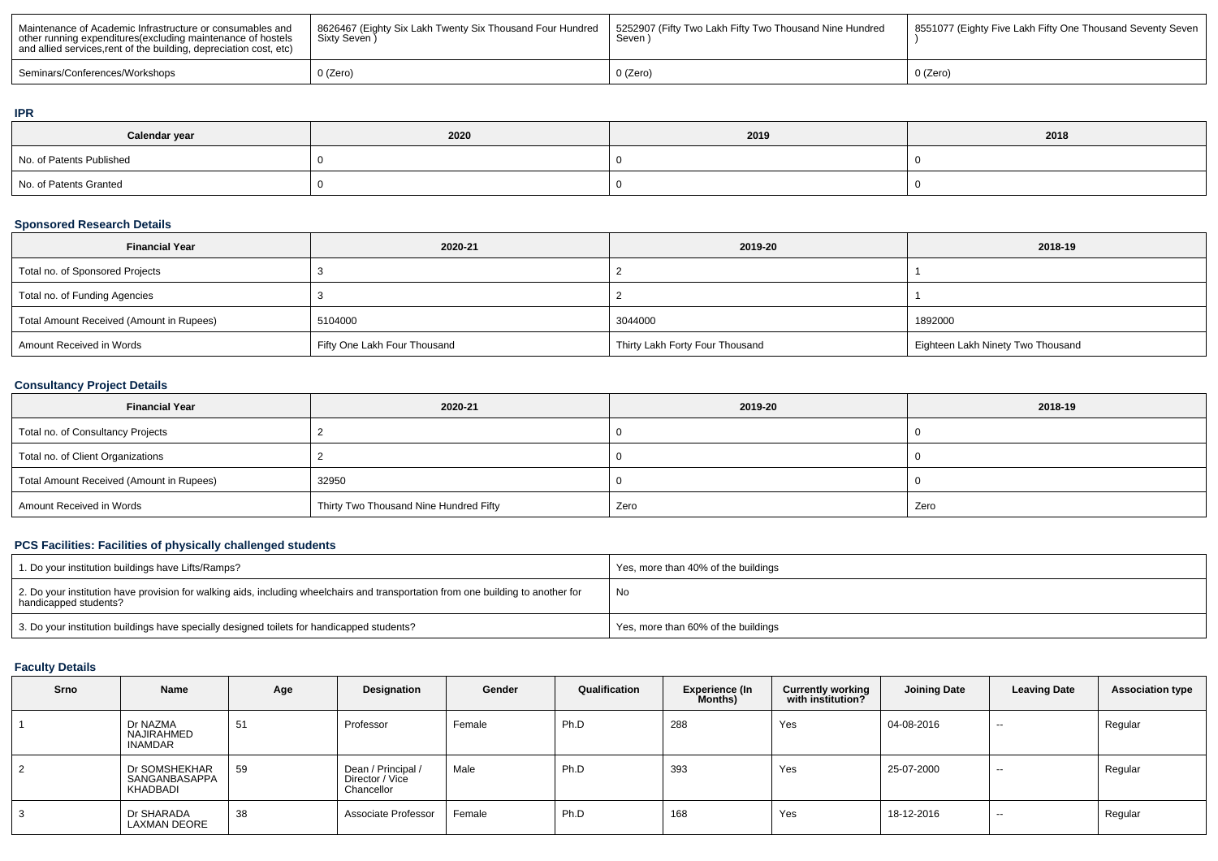| Maintenance of Academic Infrastructure or consumables and<br>other running expenditures (excluding maintenance of hostels<br>and allied services, rent of the building, depreciation cost, etc) | 8626467 (Eighty Six Lakh Twenty Six Thousand Four Hundred<br>Sixty Seven ) | 1 5252907 (Fifty Two Lakh Fifty Two Thousand Nine Hundred<br>Seven | 8551077 (Eighty Five Lakh Fifty One Thousand Seventy Seven |
|-------------------------------------------------------------------------------------------------------------------------------------------------------------------------------------------------|----------------------------------------------------------------------------|--------------------------------------------------------------------|------------------------------------------------------------|
| Seminars/Conferences/Workshops                                                                                                                                                                  | $0$ (Zero)                                                                 | າ (Zero)                                                           | $0$ (Zero)                                                 |

#### **IPR**

| Calendar year            | 2020 | 2019 | 2018 |
|--------------------------|------|------|------|
| No. of Patents Published |      |      |      |
| No. of Patents Granted   |      |      |      |

# **Sponsored Research Details**

| <b>Financial Year</b>                    | 2020-21                      | 2019-20                         | 2018-19                           |
|------------------------------------------|------------------------------|---------------------------------|-----------------------------------|
| Total no. of Sponsored Projects          |                              |                                 |                                   |
| Total no. of Funding Agencies            |                              |                                 |                                   |
| Total Amount Received (Amount in Rupees) | 5104000                      | 3044000                         | 1892000                           |
| Amount Received in Words                 | Fifty One Lakh Four Thousand | Thirty Lakh Forty Four Thousand | Eighteen Lakh Ninety Two Thousand |

### **Consultancy Project Details**

| <b>Financial Year</b>                    | 2020-21                                | 2019-20 | 2018-19 |  |
|------------------------------------------|----------------------------------------|---------|---------|--|
| Total no. of Consultancy Projects        |                                        |         |         |  |
| Total no. of Client Organizations        |                                        |         |         |  |
| Total Amount Received (Amount in Rupees) | 32950                                  |         |         |  |
| Amount Received in Words                 | Thirty Two Thousand Nine Hundred Fifty | Zero    | Zero    |  |

# **PCS Facilities: Facilities of physically challenged students**

| 1. Do your institution buildings have Lifts/Ramps?                                                                                                         | Yes, more than 40% of the buildings |
|------------------------------------------------------------------------------------------------------------------------------------------------------------|-------------------------------------|
| 2. Do your institution have provision for walking aids, including wheelchairs and transportation from one building to another for<br>handicapped students? | No                                  |
| 3. Do your institution buildings have specially designed toilets for handicapped students?                                                                 | Yes, more than 60% of the buildings |

## **Faculty Details**

| Srno           | Name                                       | Age | Designation                                         | Gender | Qualification | <b>Experience (In</b><br>Months) | <b>Currently working</b><br>with institution? | Joining Date | <b>Leaving Date</b> | <b>Association type</b> |
|----------------|--------------------------------------------|-----|-----------------------------------------------------|--------|---------------|----------------------------------|-----------------------------------------------|--------------|---------------------|-------------------------|
|                | Dr NAZMA<br>NAJIRAHMED<br><b>INAMDAR</b>   | 51  | Professor                                           | Female | Ph.D          | 288                              | Yes                                           | 04-08-2016   | $\sim$              | Regular                 |
| $\overline{2}$ | Dr SOMSHEKHAR<br>SANGANBASAPPA<br>KHADBADI | 59  | Dean / Principal /<br>Director / Vice<br>Chancellor | Male   | Ph.D          | 393                              | Yes                                           | 25-07-2000   | $- -$               | Regular                 |
| 3              | Dr SHARADA<br><b>LAXMAN DEORE</b>          | 38  | Associate Professor                                 | Female | Ph.D          | 168                              | Yes                                           | 18-12-2016   | $- -$               | Regular                 |